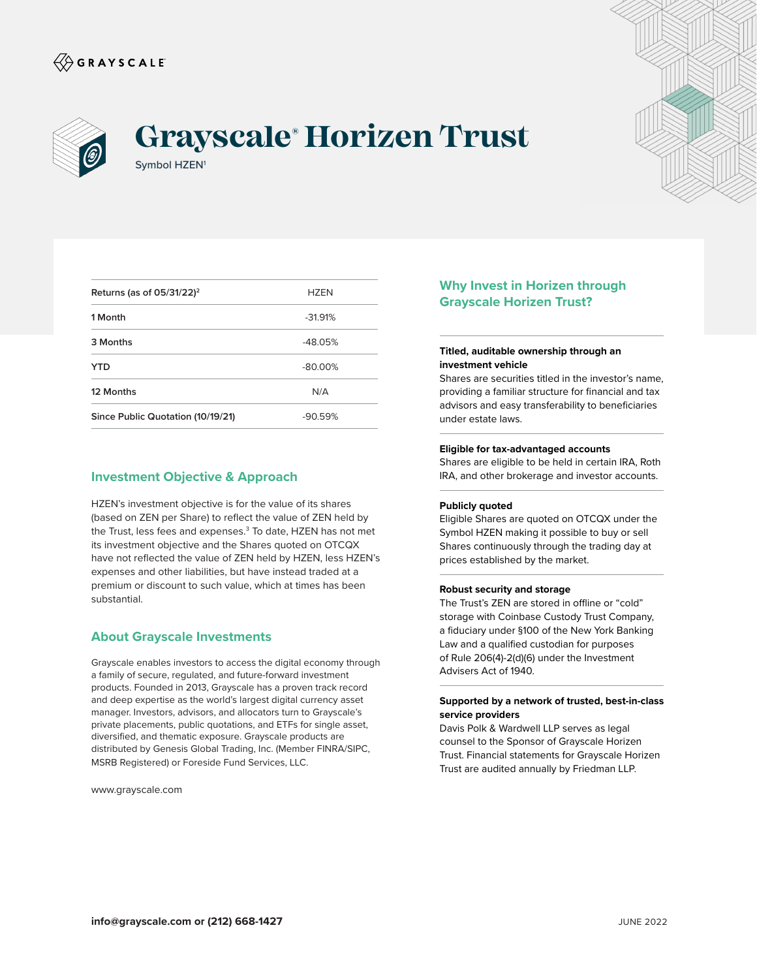



# Symbol HZEN<sup>1</sup> **Grayscale® Horizen Trust**



| Returns (as of $05/31/22$ ) <sup>2</sup> | <b>H7FN</b> |
|------------------------------------------|-------------|
| 1 Month                                  | $-31.91%$   |
| 3 Months                                 | $-48.05%$   |
| YTD                                      | $-80.00%$   |
| 12 Months                                | N/A         |
| Since Public Quotation (10/19/21)        | $-90.59%$   |

## **Investment Objective & Approach**

HZEN's investment objective is for the value of its shares (based on ZEN per Share) to reflect the value of ZEN held by the Trust, less fees and expenses.<sup>3</sup> To date, HZEN has not met its investment objective and the Shares quoted on OTCQX have not reflected the value of ZEN held by HZEN, less HZEN's expenses and other liabilities, but have instead traded at a premium or discount to such value, which at times has been substantial.

## **About Grayscale Investments**

Grayscale enables investors to access the digital economy through a family of secure, regulated, and future-forward investment products. Founded in 2013, Grayscale has a proven track record and deep expertise as the world's largest digital currency asset manager. Investors, advisors, and allocators turn to Grayscale's private placements, public quotations, and ETFs for single asset, diversified, and thematic exposure. Grayscale products are distributed by Genesis Global Trading, Inc. (Member FINRA/SIPC, MSRB Registered) or Foreside Fund Services, LLC.

www.grayscale.com

# **Why Invest in Horizen through Grayscale Horizen Trust?**

## **Titled, auditable ownership through an investment vehicle**

Shares are securities titled in the investor's name, providing a familiar structure for financial and tax advisors and easy transferability to beneficiaries under estate laws.

#### **Eligible for tax-advantaged accounts**

Shares are eligible to be held in certain IRA, Roth IRA, and other brokerage and investor accounts.

#### **Publicly quoted**

Eligible Shares are quoted on OTCQX under the Symbol HZEN making it possible to buy or sell Shares continuously through the trading day at prices established by the market.

#### **Robust security and storage**

The Trust's ZEN are stored in offline or "cold" storage with Coinbase Custody Trust Company, a fiduciary under §100 of the New York Banking Law and a qualified custodian for purposes of Rule 206(4)-2(d)(6) under the Investment Advisers Act of 1940.

## **Supported by a network of trusted, best-in-class service providers**

Davis Polk & Wardwell LLP serves as legal counsel to the Sponsor of Grayscale Horizen Trust. Financial statements for Grayscale Horizen Trust are audited annually by Friedman LLP.